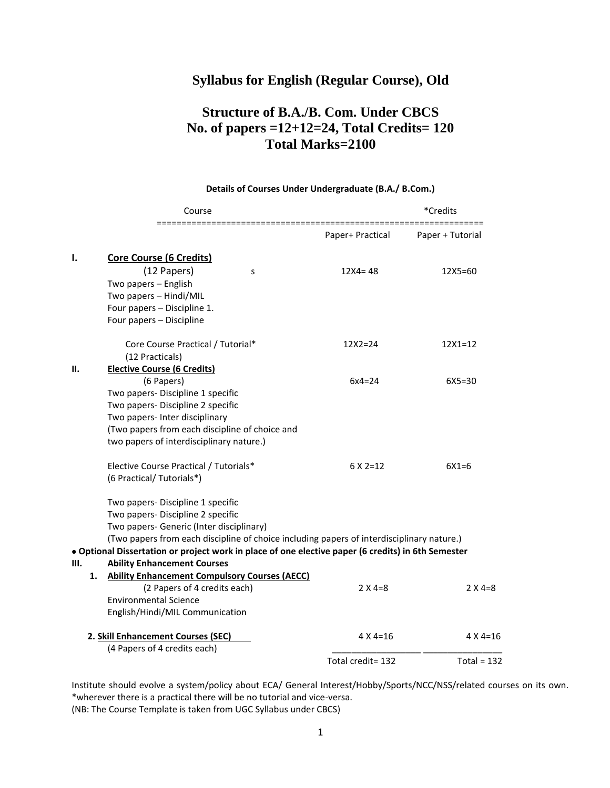## **Syllabus for English (Regular Course), Old**

# **Structure of B.A./B. Com. Under CBCS No. of papers =12+12=24, Total Credits= 120 Total Marks=2100**

|    | Course                                                                                             |                   | *Credits          |  |  |  |  |
|----|----------------------------------------------------------------------------------------------------|-------------------|-------------------|--|--|--|--|
|    |                                                                                                    | Paper+ Practical  | Paper + Tutorial  |  |  |  |  |
| ı. | <b>Core Course (6 Credits)</b>                                                                     |                   |                   |  |  |  |  |
|    | (12 Papers)<br>S                                                                                   | $12X4 = 48$       | 12X5=60           |  |  |  |  |
|    | Two papers - English                                                                               |                   |                   |  |  |  |  |
|    | Two papers - Hindi/MIL                                                                             |                   |                   |  |  |  |  |
|    | Four papers - Discipline 1.                                                                        |                   |                   |  |  |  |  |
|    | Four papers - Discipline                                                                           |                   |                   |  |  |  |  |
|    | Core Course Practical / Tutorial*                                                                  | $12X2 = 24$       | $12X1 = 12$       |  |  |  |  |
|    | (12 Practicals)                                                                                    |                   |                   |  |  |  |  |
| Н. | <b>Elective Course (6 Credits)</b>                                                                 |                   |                   |  |  |  |  |
|    | (6 Papers)                                                                                         | $6x4=24$          | $6X5 = 30$        |  |  |  |  |
|    | Two papers- Discipline 1 specific                                                                  |                   |                   |  |  |  |  |
|    | Two papers- Discipline 2 specific                                                                  |                   |                   |  |  |  |  |
|    | Two papers- Inter disciplinary                                                                     |                   |                   |  |  |  |  |
|    | (Two papers from each discipline of choice and                                                     |                   |                   |  |  |  |  |
|    | two papers of interdisciplinary nature.)                                                           |                   |                   |  |  |  |  |
|    | Elective Course Practical / Tutorials*                                                             | $6 \times 2 = 12$ | $6X1 = 6$         |  |  |  |  |
|    | (6 Practical/ Tutorials*)                                                                          |                   |                   |  |  |  |  |
|    | Two papers- Discipline 1 specific                                                                  |                   |                   |  |  |  |  |
|    | Two papers- Discipline 2 specific                                                                  |                   |                   |  |  |  |  |
|    | Two papers- Generic (Inter disciplinary)                                                           |                   |                   |  |  |  |  |
|    | (Two papers from each discipline of choice including papers of interdisciplinary nature.)          |                   |                   |  |  |  |  |
|    | · Optional Dissertation or project work in place of one elective paper (6 credits) in 6th Semester |                   |                   |  |  |  |  |
| Ш. | <b>Ability Enhancement Courses</b>                                                                 |                   |                   |  |  |  |  |
| 1. | <b>Ability Enhancement Compulsory Courses (AECC)</b>                                               |                   |                   |  |  |  |  |
|    | (2 Papers of 4 credits each)                                                                       | $2 X 4=8$         | $2 \times 4=8$    |  |  |  |  |
|    | <b>Environmental Science</b>                                                                       |                   |                   |  |  |  |  |
|    | English/Hindi/MIL Communication                                                                    |                   |                   |  |  |  |  |
|    | 2. Skill Enhancement Courses (SEC)                                                                 | $4 \times 4 = 16$ | $4 \times 4 = 16$ |  |  |  |  |
|    | (4 Papers of 4 credits each)                                                                       |                   |                   |  |  |  |  |
|    |                                                                                                    | Total credit= 132 | Total = $132$     |  |  |  |  |

#### **Details of Courses Under Undergraduate (B.A./ B.Com.)**

Institute should evolve a system/policy about ECA/ General Interest/Hobby/Sports/NCC/NSS/related courses on its own. \*wherever there is a practical there will be no tutorial and vice-versa. (NB: The Course Template is taken from UGC Syllabus under CBCS)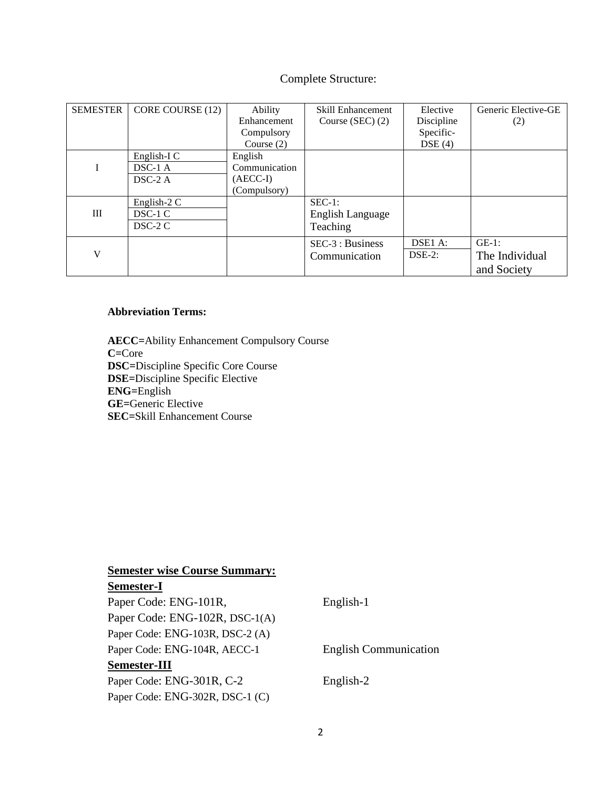## Complete Structure:

| <b>SEMESTER</b> | CORE COURSE (12) | Ability       | <b>Skill Enhancement</b> | Elective   | Generic Elective-GE |
|-----------------|------------------|---------------|--------------------------|------------|---------------------|
|                 |                  | Enhancement   | Course (SEC) $(2)$       | Discipline | (2)                 |
|                 |                  | Compulsory    |                          | Specific-  |                     |
|                 |                  | Course $(2)$  |                          | DSE(4)     |                     |
|                 | English-I C      | English       |                          |            |                     |
| I               | $DSC-1$ A        | Communication |                          |            |                     |
|                 | $DSC-2A$         | $(AECC-I)$    |                          |            |                     |
|                 |                  | (Compulsory)  |                          |            |                     |
|                 | English-2 C      |               | $SEC-1:$                 |            |                     |
| Ш               | $DSC-1C$         |               | English Language         |            |                     |
|                 | $DSC-2C$         |               | Teaching                 |            |                     |
|                 |                  |               | SEC-3 : Business         | DSE1 A:    | $GE-1$ :            |
| V               |                  |               | Communication            | $DSE-2$ :  | The Individual      |
|                 |                  |               |                          |            | and Society         |

### **Abbreviation Terms:**

**AECC=**Ability Enhancement Compulsory Course **C=**Core **DSC=**Discipline Specific Core Course **DSE=**Discipline Specific Elective **ENG=**English **GE=**Generic Elective **SEC=**Skill Enhancement Course

## **Semester wise Course Summary:**

## **Semester-I**

| English-1                    |
|------------------------------|
|                              |
|                              |
| <b>English Communication</b> |
|                              |
| English-2                    |
|                              |
|                              |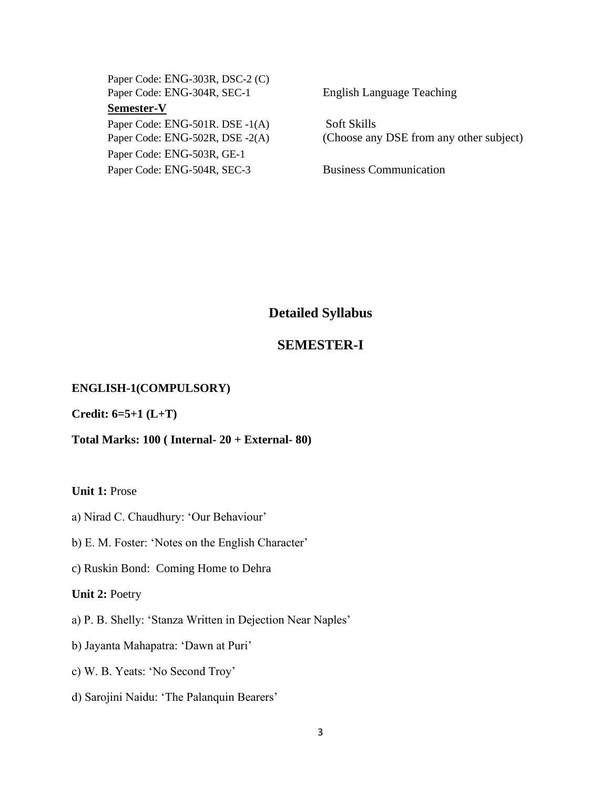Paper Code: ENG-303R, DSC-2 (C) Paper Code: ENG-304R, SEC-1 English Language Teaching **Semester-V** Paper Code: ENG-501R. DSE -1(A) Soft Skills Paper Code: ENG-503R, GE-1

Paper Code: ENG-502R, DSE -2(A) (Choose any DSE from any other subject)

Paper Code: ENG-504R, SEC-3 Business Communication

## **Detailed Syllabus**

### **SEMESTER-I**

#### **ENGLISH-1(COMPULSORY)**

**Credit: 6=5+1 (L+T)**

#### **Total Marks: 100 ( Internal- 20 + External- 80)**

**Unit 1:** Prose

- a) Nirad C. Chaudhury: 'Our Behaviour'
- b) E. M. Foster: 'Notes on the English Character'
- c) Ruskin Bond: Coming Home to Dehra

**Unit 2:** Poetry

- a) P. B. Shelly: 'Stanza Written in Dejection Near Naples'
- b) Jayanta Mahapatra: 'Dawn at Puri'
- c) W. B. Yeats: 'No Second Troy'
- d) Sarojini Naidu: 'The Palanquin Bearers'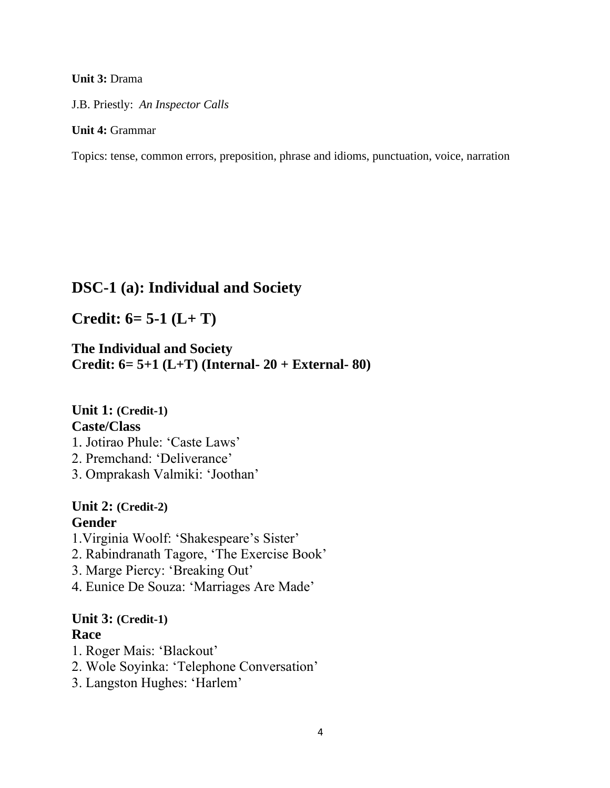#### **Unit 3:** Drama

J.B. Priestly: *An Inspector Calls*

#### **Unit 4:** Grammar

Topics: tense, common errors, preposition, phrase and idioms, punctuation, voice, narration

## **DSC-1 (a): Individual and Society**

**Credit: 6= 5-1 (L+ T)**

**The Individual and Society Credit: 6= 5+1 (L+T) (Internal- 20 + External- 80)**

**Unit 1: (Credit-1) Caste/Class** 

- 1. Jotirao Phule: 'Caste Laws'
- 2. Premchand: 'Deliverance'
- 3. Omprakash Valmiki: 'Joothan'

## **Unit 2: (Credit-2) Gender**

- 1.Virginia Woolf: 'Shakespeare's Sister'
- 2. Rabindranath Tagore, 'The Exercise Book'
- 3. Marge Piercy: 'Breaking Out'
- 4. Eunice De Souza: 'Marriages Are Made'

### **Unit 3: (Credit-1) Race**

- 1. Roger Mais: 'Blackout'
- 2. Wole Soyinka: 'Telephone Conversation'
- 3. Langston Hughes: 'Harlem'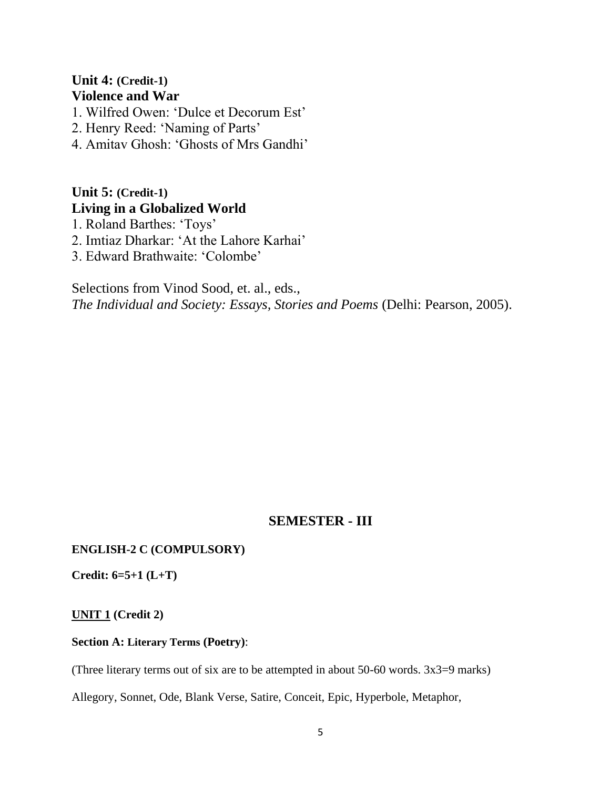## **Unit 4: (Credit-1) Violence and War**

- 1. Wilfred Owen: 'Dulce et Decorum Est'
- 2. Henry Reed: 'Naming of Parts'
- 4. Amitav Ghosh: 'Ghosts of Mrs Gandhi'

## **Unit 5: (Credit-1) Living in a Globalized World**

- 1. Roland Barthes: 'Toys'
- 2. Imtiaz Dharkar: 'At the Lahore Karhai'
- 3. Edward Brathwaite: 'Colombe'

Selections from Vinod Sood, et. al., eds., *The Individual and Society: Essays, Stories and Poems* (Delhi: Pearson, 2005).

## **SEMESTER - III**

### **ENGLISH-2 C (COMPULSORY)**

**Credit: 6=5+1 (L+T)**

**UNIT 1 (Credit 2)**

### **Section A: Literary Terms (Poetry)**:

(Three literary terms out of six are to be attempted in about 50-60 words. 3x3=9 marks)

Allegory, Sonnet, Ode, Blank Verse, Satire, Conceit, Epic, Hyperbole, Metaphor,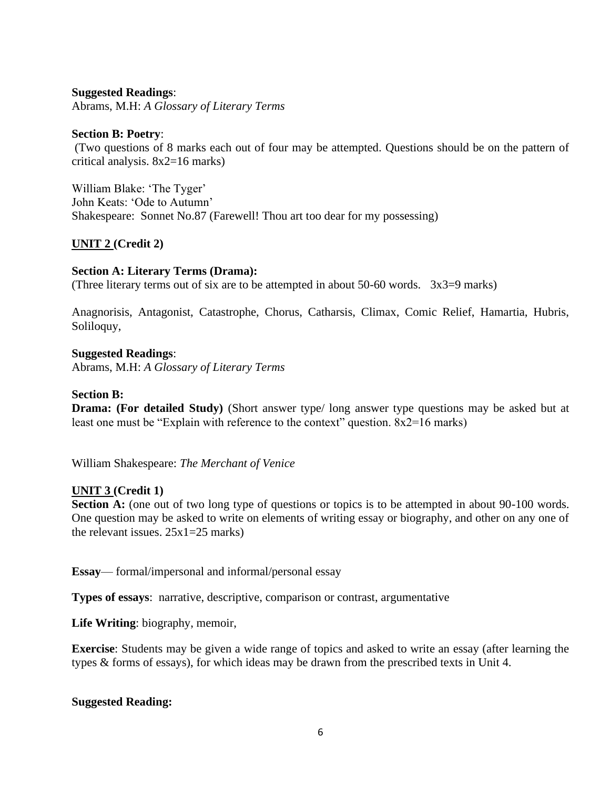### **Suggested Readings**:

Abrams, M.H: *A Glossary of Literary Terms*

#### **Section B: Poetry**:

(Two questions of 8 marks each out of four may be attempted. Questions should be on the pattern of critical analysis. 8x2=16 marks)

William Blake: 'The Tyger' John Keats: 'Ode to Autumn' Shakespeare: Sonnet No.87 (Farewell! Thou art too dear for my possessing)

### **UNIT 2 (Credit 2)**

#### **Section A: Literary Terms (Drama):**

(Three literary terms out of six are to be attempted in about 50-60 words. 3x3=9 marks)

Anagnorisis, Antagonist, Catastrophe, Chorus, Catharsis, Climax, Comic Relief, Hamartia, Hubris, Soliloquy,

#### **Suggested Readings**:

Abrams, M.H: *A Glossary of Literary Terms*

#### **Section B:**

**Drama: (For detailed Study)** (Short answer type/ long answer type questions may be asked but at least one must be "Explain with reference to the context" question.  $8x2=16$  marks)

William Shakespeare: *The Merchant of Venice*

#### **UNIT 3 (Credit 1)**

**Section A:** (one out of two long type of questions or topics is to be attempted in about 90-100 words. One question may be asked to write on elements of writing essay or biography, and other on any one of the relevant issues. 25x1=25 marks)

**Essay**— formal/impersonal and informal/personal essay

**Types of essays**: narrative, descriptive, comparison or contrast, argumentative

**Life Writing**: biography, memoir,

**Exercise**: Students may be given a wide range of topics and asked to write an essay (after learning the types & forms of essays), for which ideas may be drawn from the prescribed texts in Unit 4.

#### **Suggested Reading:**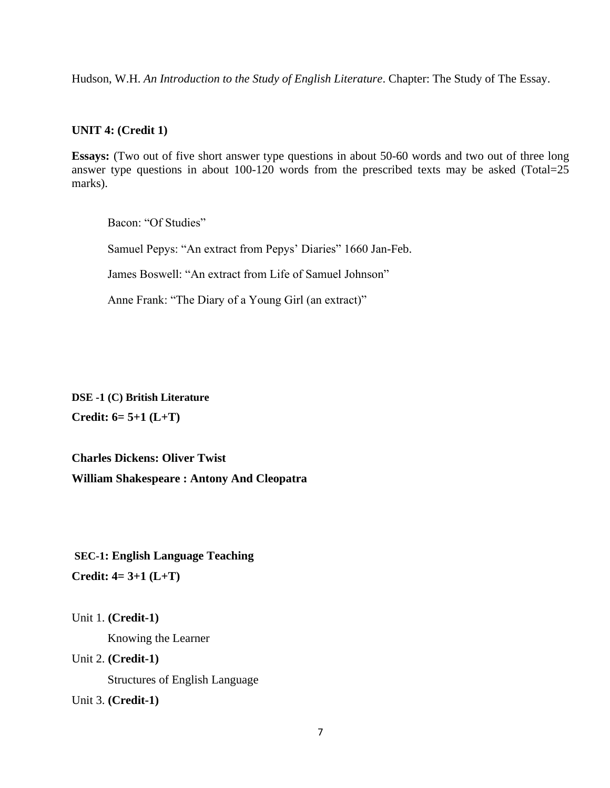Hudson, W.H. *An Introduction to the Study of English Literature*. Chapter: The Study of The Essay.

#### **UNIT 4: (Credit 1)**

**Essays:** (Two out of five short answer type questions in about 50-60 words and two out of three long answer type questions in about 100-120 words from the prescribed texts may be asked (Total=25 marks).

Bacon: "Of Studies"

Samuel Pepys: "An extract from Pepys' Diaries" 1660 Jan-Feb.

James Boswell: "An extract from Life of Samuel Johnson"

Anne Frank: "The Diary of a Young Girl (an extract)"

**DSE -1 (C) British Literature Credit: 6= 5+1 (L+T)**

**Charles Dickens: Oliver Twist William Shakespeare : Antony And Cleopatra** 

**SEC-1: English Language Teaching Credit: 4= 3+1 (L+T)**

Unit 1. **(Credit-1)**

Knowing the Learner

Unit 2. **(Credit-1)** 

Structures of English Language

Unit 3. **(Credit-1)**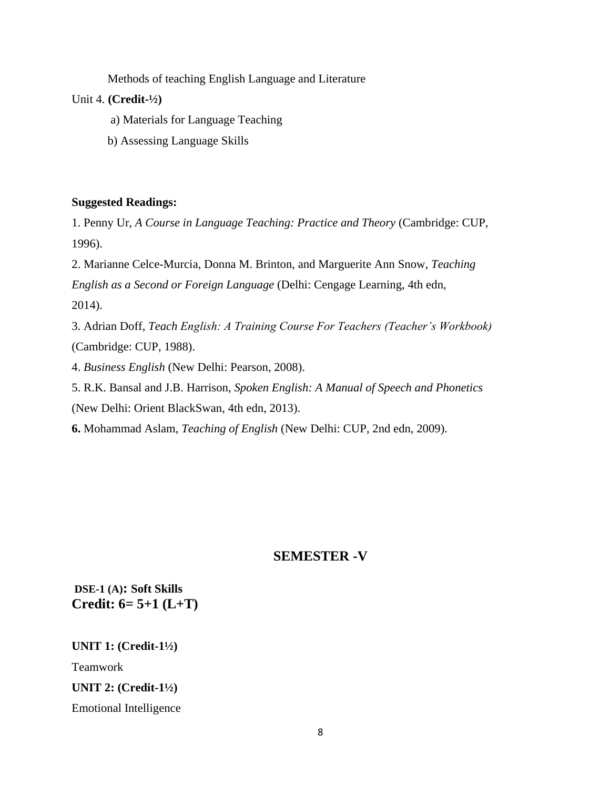Methods of teaching English Language and Literature

### Unit 4. **(Credit-½)**

- a) Materials for Language Teaching
- b) Assessing Language Skills

#### **Suggested Readings:**

1. Penny Ur, *A Course in Language Teaching: Practice and Theory* (Cambridge: CUP, 1996).

2. Marianne Celce-Murcia, Donna M. Brinton, and Marguerite Ann Snow, *Teaching English as a Second or Foreign Language* (Delhi: Cengage Learning, 4th edn, 2014).

3. Adrian Doff, *Teach English: A Training Course For Teachers (Teacher's Workbook)* (Cambridge: CUP, 1988).

4. *Business English* (New Delhi: Pearson, 2008).

5. R.K. Bansal and J.B. Harrison, *Spoken English: A Manual of Speech and Phonetics* (New Delhi: Orient BlackSwan, 4th edn, 2013).

**6.** Mohammad Aslam, *Teaching of English* (New Delhi: CUP, 2nd edn, 2009).

### **SEMESTER -V**

**DSE-1 (A): Soft Skills Credit: 6= 5+1 (L+T)**

**UNIT 1: (Credit-1½)** Teamwork **UNIT 2: (Credit-1½)** Emotional Intelligence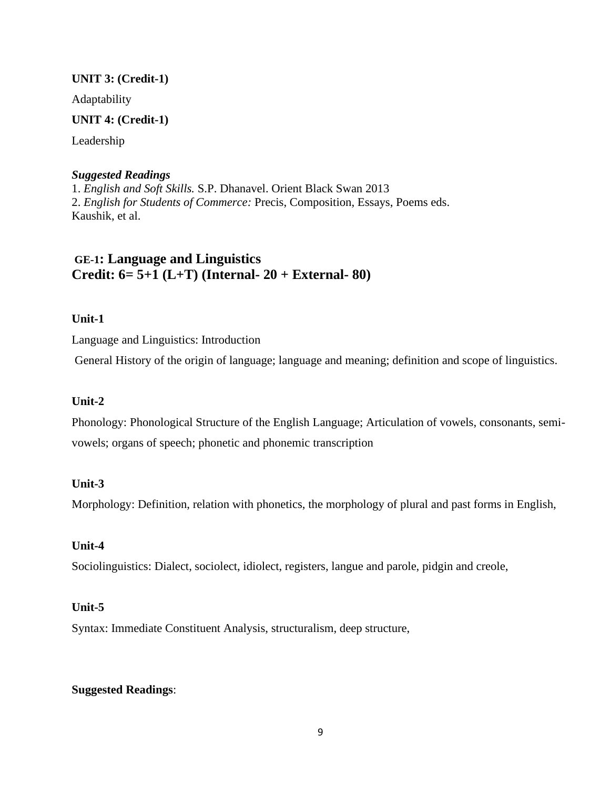### **UNIT 3: (Credit-1)**

Adaptability

### **UNIT 4: (Credit-1)**

Leadership

### *Suggested Readings*

1. *English and Soft Skills.* S.P. Dhanavel. Orient Black Swan 2013 2. *English for Students of Commerce:* Precis, Composition, Essays, Poems eds. Kaushik, et al.

## **GE-1: Language and Linguistics Credit: 6= 5+1 (L+T) (Internal- 20 + External- 80)**

**Unit-1**

Language and Linguistics: Introduction

General History of the origin of language; language and meaning; definition and scope of linguistics.

### **Unit-2**

Phonology: Phonological Structure of the English Language; Articulation of vowels, consonants, semivowels; organs of speech; phonetic and phonemic transcription

### **Unit-3**

Morphology: Definition, relation with phonetics, the morphology of plural and past forms in English,

### **Unit-4**

Sociolinguistics: Dialect, sociolect, idiolect, registers, langue and parole, pidgin and creole,

### **Unit-5**

Syntax: Immediate Constituent Analysis, structuralism, deep structure,

### **Suggested Readings**: